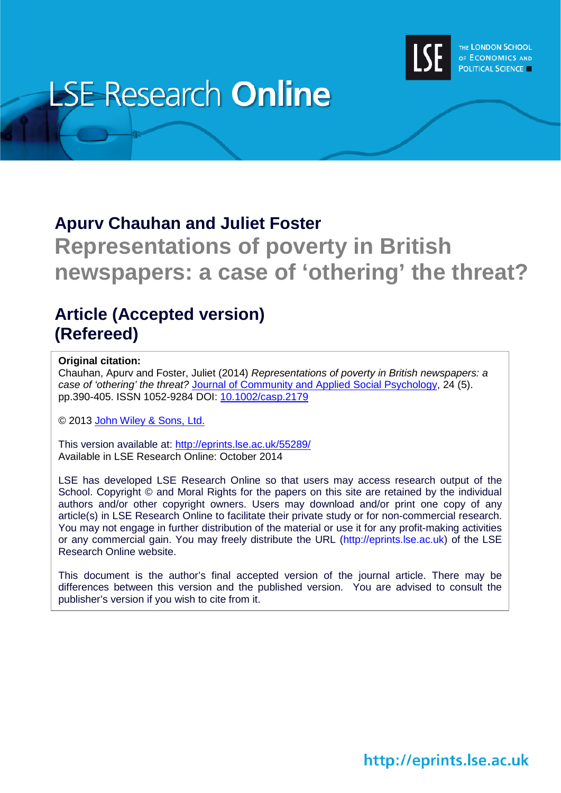

# **LSE Research Online**

# **Apurv Chauhan and Juliet Foster Representations of poverty in British newspapers: a case of 'othering' the threat?**

# **Article (Accepted version) (Refereed)**

#### **Original citation:**

Chauhan, Apurv and Foster, Juliet (2014) *Representations of poverty in British newspapers: a case of 'othering' the threat?* [Journal of Community and Applied Social Psychology,](http://onlinelibrary.wiley.com/journal/10.1002/(ISSN)1099-1298) 24 (5). pp.390-405. ISSN 1052-9284 DOI: [10.1002/casp.2179](http://dx.doi.org/10.1002/casp.2179)

© 2013 [John Wiley & Sons, Ltd.](http://onlinelibrary.wiley.com/)

This version available at: <http://eprints.lse.ac.uk/55289/> Available in LSE Research Online: October 2014

LSE has developed LSE Research Online so that users may access research output of the School. Copyright © and Moral Rights for the papers on this site are retained by the individual authors and/or other copyright owners. Users may download and/or print one copy of any article(s) in LSE Research Online to facilitate their private study or for non-commercial research. You may not engage in further distribution of the material or use it for any profit-making activities or any commercial gain. You may freely distribute the URL (http://eprints.lse.ac.uk) of the LSE Research Online website.

This document is the author's final accepted version of the journal article. There may be differences between this version and the published version. You are advised to consult the publisher's version if you wish to cite from it.

# http://eprints.lse.ac.uk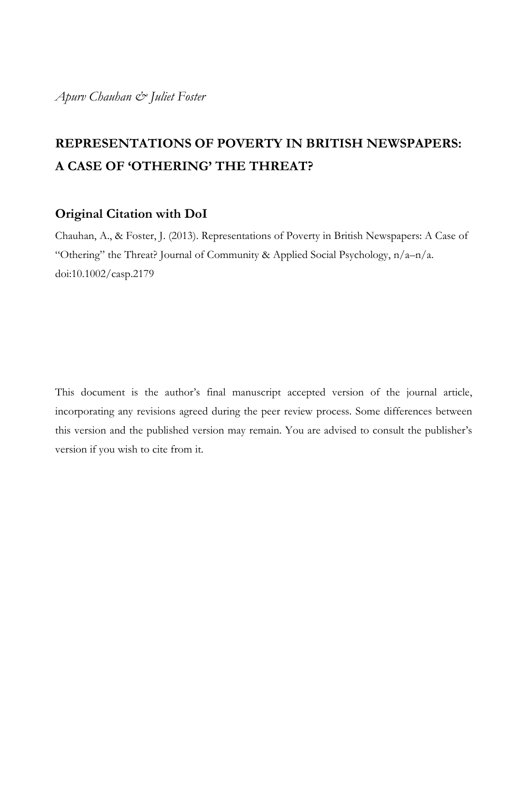### **REPRESENTATIONS OF POVERTY IN BRITISH NEWSPAPERS: A CASE OF 'OTHERING' THE THREAT?**

#### **Original Citation with DoI**

Chauhan, A., & Foster, J. (2013). Representations of Poverty in British Newspapers: A Case of "Othering" the Threat? Journal of Community & Applied Social Psychology, n/a–n/a. doi:10.1002/casp.2179

This document is the author's final manuscript accepted version of the journal article, incorporating any revisions agreed during the peer review process. Some differences between this version and the published version may remain. You are advised to consult the publisher's version if you wish to cite from it.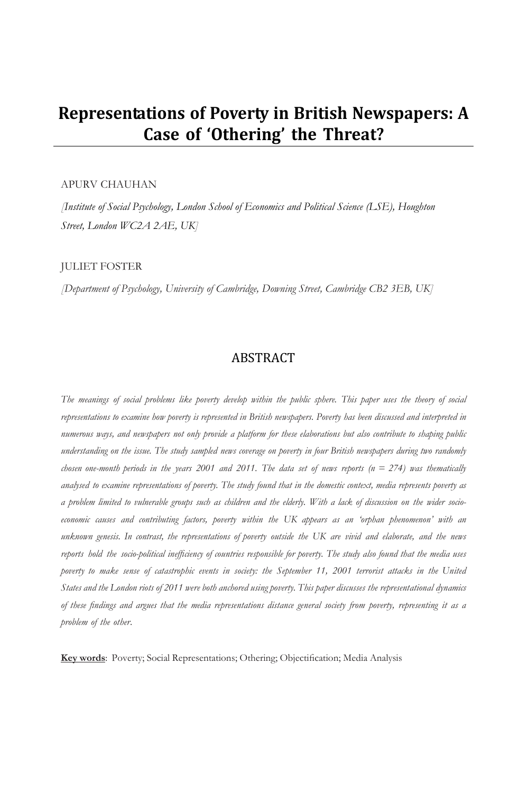## **Representations of Poverty in British Newspapers: A Case of 'Othering' the Threat?**

#### APURV CHAUHAN

*[Institute of Social Psychology, London School of Economics and Political Science (LSE), Houghton Street, London WC2A 2AE, UK]*

#### JULIET FOSTER

*[Department of Psychology, University of Cambridge, Downing Street, Cambridge CB2 3EB, UK]*

#### ABSTRACT

The meanings of social problems like poverty develop within the public sphere. This paper uses the theory of social representations to examine how poverty is represented in British newspapers. Poverty has been discussed and interpreted in numerous ways, and newspapers not only provide a platform for these elaborations but also contribute to shaping public understanding on the issue. The study sampled news coverage on poverty in four British newspapers during two randomly chosen one-month periods in the years 2001 and 2011. The data set of news reports  $(n = 274)$  was thematically *analysed to examine representations of poverty. The study found that in the domestic context, media represents poverty as* a problem limited to vulnerable groups such as children and the elderly. With a lack of discussion on the wider socio*economic causes and contributing factors, poverty within the UK appears as an 'orphan phenomenon' with an* unknown genesis. In contrast, the representations of poverty outside the UK are vivid and elaborate, and the news reports hold the socio-political inefficiency of countries responsible for poverty. The study also found that the media uses poverty to make sense of catastrophic events in society: the September 11, 2001 terrorist attacks in the United States and the London riots of 2011 were both anchored using poverty. This paper discusses the representational dynamics *of these findings and argues that the media representations distance general society from poverty, representing it as a problem of the other*.

**Key words**: Poverty; Social Representations; Othering; Objectification; Media Analysis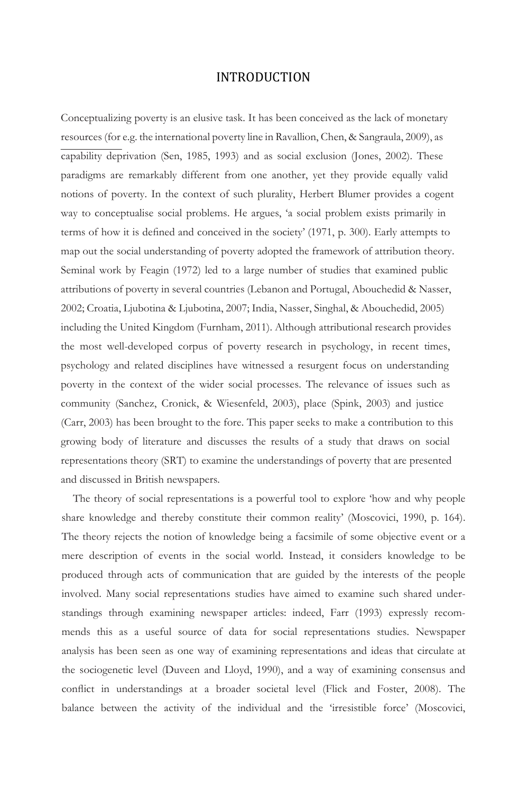#### INTRODUCTION

Conceptualizing poverty is an elusive task. It has been conceived as the lack of monetary resources (for e.g. the international poverty line in Ravallion, Chen, & Sangraula, 2009), as capability deprivation (Sen, 1985, 1993) and as social exclusion (Jones, 2002). These paradigms are remarkably different from one another, yet they provide equally valid notions of poverty. In the context of such plurality, Herbert Blumer provides a cogent way to conceptualise social problems. He argues, 'a social problem exists primarily in terms of how it is defined and conceived in the society' (1971, p. 300). Early attempts to map out the social understanding of poverty adopted the framework of attribution theory. Seminal work by Feagin (1972) led to a large number of studies that examined public attributions of poverty in several countries (Lebanon and Portugal, Abouchedid & Nasser, 2002; Croatia, Ljubotina & Ljubotina, 2007; India, Nasser, Singhal, & Abouchedid, 2005) including the United Kingdom (Furnham, 2011). Although attributional research provides the most well-developed corpus of poverty research in psychology, in recent times, psychology and related disciplines have witnessed a resurgent focus on understanding poverty in the context of the wider social processes. The relevance of issues such as community (Sanchez, Cronick, & Wiesenfeld, 2003), place (Spink, 2003) and justice (Carr, 2003) has been brought to the fore. This paper seeks to make a contribution to this growing body of literature and discusses the results of a study that draws on social representations theory (SRT) to examine the understandings of poverty that are presented and discussed in British newspapers.

The theory of social representations is a powerful tool to explore 'how and why people share knowledge and thereby constitute their common reality' (Moscovici, 1990, p. 164). The theory rejects the notion of knowledge being a facsimile of some objective event or a mere description of events in the social world. Instead, it considers knowledge to be produced through acts of communication that are guided by the interests of the people involved. Many social representations studies have aimed to examine such shared understandings through examining newspaper articles: indeed, Farr (1993) expressly recommends this as a useful source of data for social representations studies. Newspaper analysis has been seen as one way of examining representations and ideas that circulate at the sociogenetic level (Duveen and Lloyd, 1990), and a way of examining consensus and conflict in understandings at a broader societal level (Flick and Foster, 2008). The balance between the activity of the individual and the 'irresistible force' (Moscovici,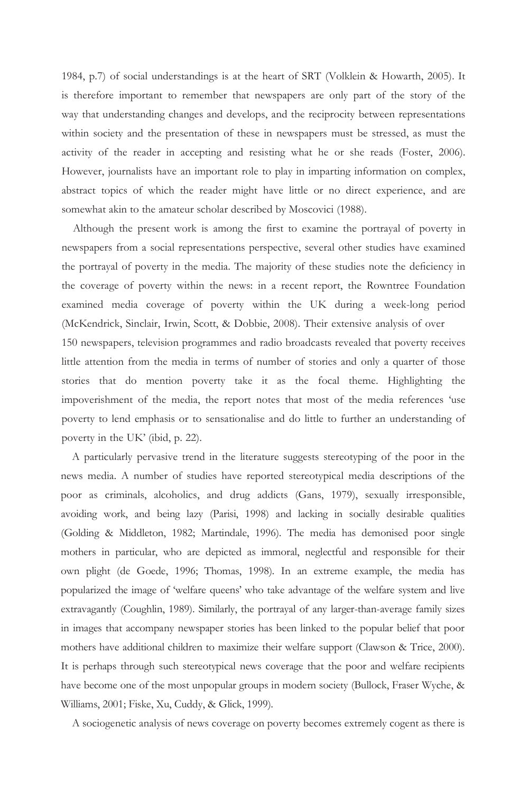1984, p.7) of social understandings is at the heart of SRT (Volklein & Howarth, 2005). It is therefore important to remember that newspapers are only part of the story of the way that understanding changes and develops, and the reciprocity between representations within society and the presentation of these in newspapers must be stressed, as must the activity of the reader in accepting and resisting what he or she reads (Foster, 2006). However, journalists have an important role to play in imparting information on complex, abstract topics of which the reader might have little or no direct experience, and are somewhat akin to the amateur scholar described by Moscovici (1988).

Although the present work is among the first to examine the portrayal of poverty in newspapers from a social representations perspective, several other studies have examined the portrayal of poverty in the media. The majority of these studies note the deficiency in the coverage of poverty within the news: in a recent report, the Rowntree Foundation examined media coverage of poverty within the UK during a week-long period (McKendrick, Sinclair, Irwin, Scott, & Dobbie, 2008). Their extensive analysis of over 150 newspapers, television programmes and radio broadcasts revealed that poverty receives little attention from the media in terms of number of stories and only a quarter of those stories that do mention poverty take it as the focal theme. Highlighting the impoverishment of the media, the report notes that most of the media references 'use poverty to lend emphasis or to sensationalise and do little to further an understanding of poverty in the UK' (ibid, p. 22).

A particularly pervasive trend in the literature suggests stereotyping of the poor in the news media. A number of studies have reported stereotypical media descriptions of the poor as criminals, alcoholics, and drug addicts (Gans, 1979), sexually irresponsible, avoiding work, and being lazy (Parisi, 1998) and lacking in socially desirable qualities (Golding & Middleton, 1982; Martindale, 1996). The media has demonised poor single mothers in particular, who are depicted as immoral, neglectful and responsible for their own plight (de Goede, 1996; Thomas, 1998). In an extreme example, the media has popularized the image of 'welfare queens' who take advantage of the welfare system and live extravagantly (Coughlin, 1989). Similarly, the portrayal of any larger-than-average family sizes in images that accompany newspaper stories has been linked to the popular belief that poor mothers have additional children to maximize their welfare support (Clawson & Trice, 2000). It is perhaps through such stereotypical news coverage that the poor and welfare recipients have become one of the most unpopular groups in modern society (Bullock, Fraser Wyche, & Williams, 2001; Fiske, Xu, Cuddy, & Glick, 1999).

A sociogenetic analysis of news coverage on poverty becomes extremely cogent as there is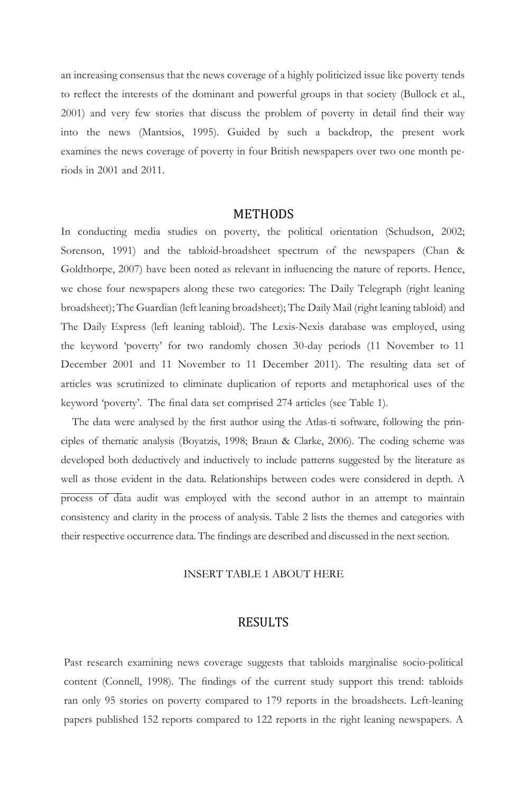an increasing consensus that the news coverage of a highly politicized issue like poverty tends to reflect the interests of the dominant and powerful groups in that society (Bullock et al., 2001) and very few stories that discuss the problem of poverty in detail find their way into the news (Mantsios, 1995). Guided by such a backdrop, the present work examines the news coverage of poverty in four British newspapers over two one month periods in 2001 and 2011.

#### **METHODS**

In conducting media studies on poverty, the political orientation (Schudson, 2002; Sorenson, 1991) and the tabloid-broadsheet spectrum of the newspapers (Chan & Goldthorpe, 2007) have been noted as relevant in influencing the nature of reports. Hence, we chose four newspapers along these two categories: The Daily Telegraph (right leaning broadsheet); The Guardian (left leaning broadsheet); The Daily Mail (right leaning tabloid) and The Daily Express (left leaning tabloid). The Lexis-Nexis database was employed, using the keyword 'poverty' for two randomly chosen 30-day periods (11 November to 11 December 2001 and 11 November to 11 December 2011). The resulting data set of articles was scrutinized to eliminate duplication of reports and metaphorical uses of the keyword 'poverty'. The final data set comprised 274 articles (see Table 1).

The data were analysed by the first author using the Atlas-ti software, following the principles of thematic analysis (Boyatzis, 1998; Braun & Clarke, 2006). The coding scheme was developed both deductively and inductively to include patterns suggested by the literature as well as those evident in the data. Relationships between codes were considered in depth. A process of data audit was employed with the second author in an attempt to maintain consistency and clarity in the process of analysis. Table 2 lists the themes and categories with their respective occurrence data. The findings are described and discussed in the next section.

#### INSERT TABLE 1 ABOUT HERE

#### RESULTS

Past research examining news coverage suggests that tabloids marginalise socio-political content (Connell, 1998). The findings of the current study support this trend: tabloids ran only 95 stories on poverty compared to 179 reports in the broadsheets. Left-leaning papers published 152 reports compared to 122 reports in the right leaning newspapers. A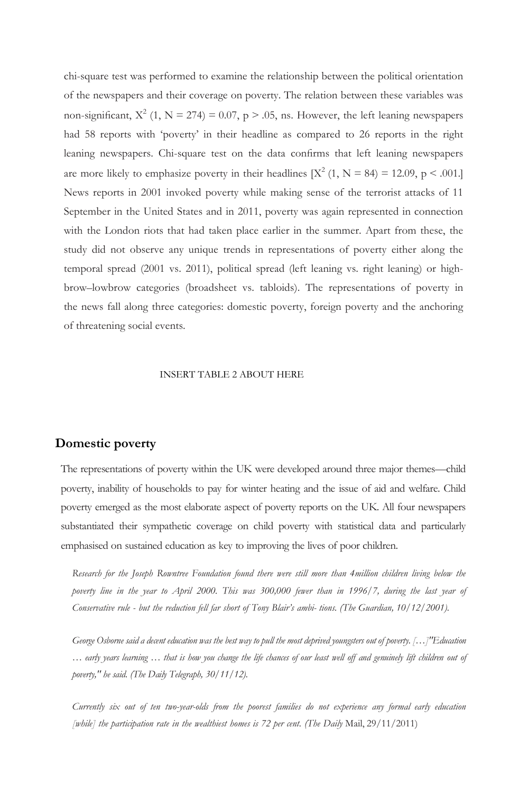chi-square test was performed to examine the relationship between the political orientation of the newspapers and their coverage on poverty. The relation between these variables was non-significant,  $X^2$  (1, N = 274) = 0.07, p > .05, ns. However, the left leaning newspapers had 58 reports with 'poverty' in their headline as compared to 26 reports in the right leaning newspapers. Chi-square test on the data confirms that left leaning newspapers are more likely to emphasize poverty in their headlines  $[X^2 (1, N = 84) = 12.09, p < .001.]$ News reports in 2001 invoked poverty while making sense of the terrorist attacks of 11 September in the United States and in 2011, poverty was again represented in connection with the London riots that had taken place earlier in the summer. Apart from these, the study did not observe any unique trends in representations of poverty either along the temporal spread (2001 vs. 2011), political spread (left leaning vs. right leaning) or highbrow–lowbrow categories (broadsheet vs. tabloids). The representations of poverty in the news fall along three categories: domestic poverty, foreign poverty and the anchoring of threatening social events.

#### INSERT TABLE 2 ABOUT HERE

#### **Domestic poverty**

The representations of poverty within the UK were developed around three major themes—child poverty, inability of households to pay for winter heating and the issue of aid and welfare. Child poverty emerged as the most elaborate aspect of poverty reports on the UK. All four newspapers substantiated their sympathetic coverage on child poverty with statistical data and particularly emphasised on sustained education as key to improving the lives of poor children.

*Research for the Joseph Rowntree Foundation found there were still more than 4million children living below the* poverty line in the year to April 2000. This was 300,000 fewer than in 1996/7, during the last year of Conservative rule - but the reduction fell far short of Tony Blair's ambi-tions. (The Guardian, 10/12/2001).

George Osborne said a decent education was the best way to pull the most deprived youngsters out of poverty. [...]"Education ... early years learning ... that is how you change the life chances of our least well off and genuinely lift children out of *poverty," he said. (The Daily Telegraph, 30/11/12).*

Currently six out of ten two-year-olds from the poorest families do not experience any formal early education *[while] the participation rate in the wealthiest homes is 72 per cent. (The Daily* Mail, 29/11/2011)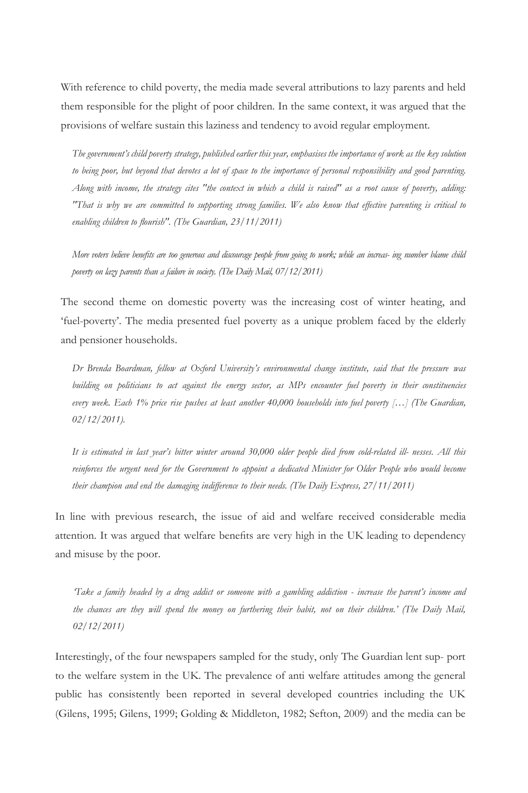With reference to child poverty, the media made several attributions to lazy parents and held them responsible for the plight of poor children. In the same context, it was argued that the provisions of welfare sustain this laziness and tendency to avoid regular employment.

The government's child poverty strategy, published earlier this year, emphasises the importance of work as the key solution to being poor, but beyond that devotes a lot of space to the importance of personal responsibility and good parenting. Along with income, the strategy cites "the context in which a child is raised" as a root cause of poverty, adding: "That is why we are committed to supporting strong families. We also know that effective parenting is critical to *enabling children to flourish". (The Guardian, 23/11/2011)*

More voters believe benefits are too generous and discourage people from going to work; while an increas- ing number blame child *poverty on lazy parents than a failure in society. (The Daily Mail, 07/12/2011)*

The second theme on domestic poverty was the increasing cost of winter heating, and 'fuel-poverty'. The media presented fuel poverty as a unique problem faced by the elderly and pensioner households.

*Dr Brenda Boardman, fellow at Oxford University's environmental change institute, said that the pressure was* building on politicians to act against the energy sector, as MPs encounter fuel poverty in their constituencies *every week. Each 1% price rise pushes at least another 40,000 households into fuel poverty […] (The Guardian, 02/12/2011).*

It is estimated in last year's bitter winter around 30,000 older people died from cold-related ill- nesses. All this reinforces the urgent need for the Government to appoint a dedicated Minister for Older People who would become *their champion and end the damaging indifference to their needs. (The Daily Express, 27/11/2011)*

In line with previous research, the issue of aid and welfare received considerable media attention. It was argued that welfare benefits are very high in the UK leading to dependency and misuse by the poor.

Take a family headed by a drug addict or someone with a gambling addiction - increase the parent's income and the chances are they will spend the money on furthering their habit, not on their children.' (The Daily Mail, *02/12/2011)*

Interestingly, of the four newspapers sampled for the study, only The Guardian lent sup- port to the welfare system in the UK. The prevalence of anti welfare attitudes among the general public has consistently been reported in several developed countries including the UK (Gilens, 1995; Gilens, 1999; Golding & Middleton, 1982; Sefton, 2009) and the media can be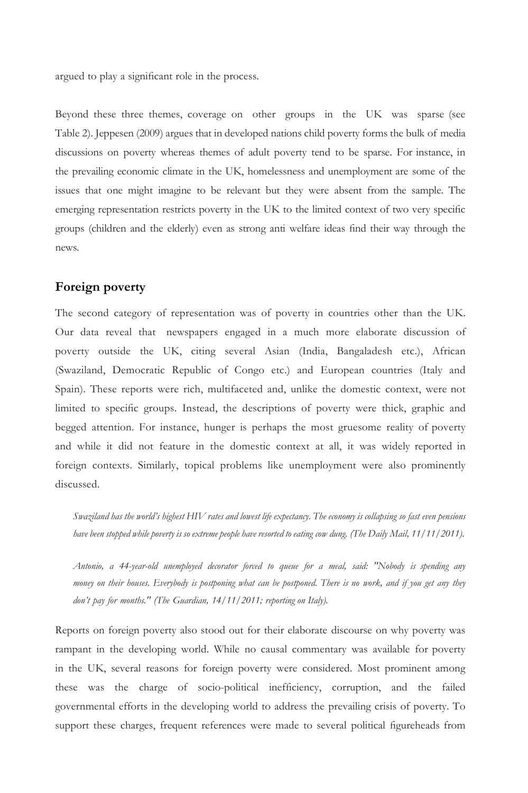argued to play a significant role in the process.

Beyond these three themes, coverage on other groups in the UK was sparse (see Table 2). Jeppesen (2009) argues that in developed nations child poverty forms the bulk of media discussions on poverty whereas themes of adult poverty tend to be sparse. For instance, in the prevailing economic climate in the UK, homelessness and unemployment are some of the issues that one might imagine to be relevant but they were absent from the sample. The emerging representation restricts poverty in the UK to the limited context of two very specific groups (children and the elderly) even as strong anti welfare ideas find their way through the news.

#### **Foreign poverty**

The second category of representation was of poverty in countries other than the UK. Our data reveal that newspapers engaged in a much more elaborate discussion of poverty outside the UK, citing several Asian (India, Bangaladesh etc.), African (Swaziland, Democratic Republic of Congo etc.) and European countries (Italy and Spain). These reports were rich, multifaceted and, unlike the domestic context, were not limited to specific groups. Instead, the descriptions of poverty were thick, graphic and begged attention. For instance, hunger is perhaps the most gruesome reality of poverty and while it did not feature in the domestic context at all, it was widely reported in foreign contexts. Similarly, topical problems like unemployment were also prominently discussed.

Swaziland has the world's highest HIV rates and lowest life expectancy. The economy is collapsing so fast even pensions have been stopped while poverty is so extreme people have resorted to eating cow dung. (The Daily Mail, 11/11/2011).

*Antonio, a 44-year-old unemployed decorator forced to queue for a meal, said: "Nobody is spending any* money on their houses. Everybody is postponing what can be postponed. There is no work, and if you get any they *don't pay for months." (The Guardian, 14/11/2011; reporting on Italy).*

Reports on foreign poverty also stood out for their elaborate discourse on why poverty was rampant in the developing world. While no causal commentary was available for poverty in the UK, several reasons for foreign poverty were considered. Most prominent among these was the charge of socio-political inefficiency, corruption, and the failed governmental efforts in the developing world to address the prevailing crisis of poverty. To support these charges, frequent references were made to several political figureheads from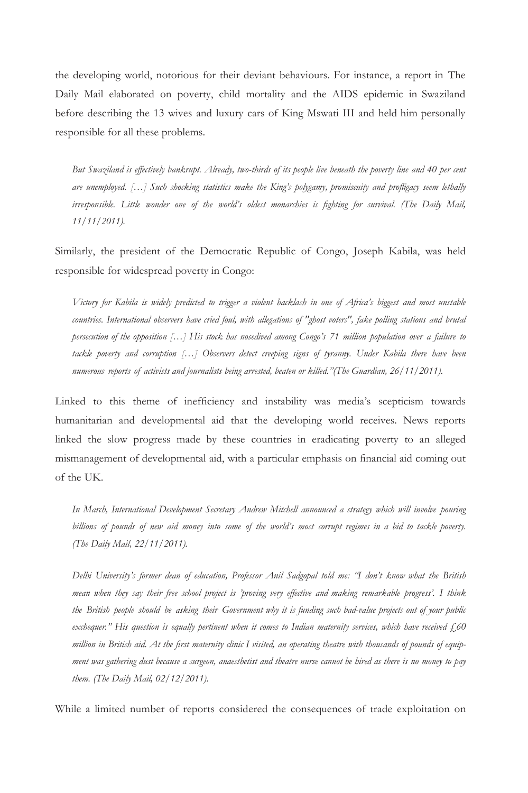the developing world, notorious for their deviant behaviours. For instance, a report in The Daily Mail elaborated on poverty, child mortality and the AIDS epidemic in Swaziland before describing the 13 wives and luxury cars of King Mswati III and held him personally responsible for all these problems.

But Swaziland is effectively bankrupt. Already, two-thirds of its people live beneath the poverty line and 40 per cent are unemployed. [...] Such shocking statistics make the King's polygamy, promiscuity and profligacy seem lethally *irresponsible. Little wonder one of the world's oldest monarchies is fighting for survival. (The Daily Mail, 11/11/2011).*

Similarly, the president of the Democratic Republic of Congo, Joseph Kabila, was held responsible for widespread poverty in Congo:

Victory for Kabila is widely predicted to trigger a violent backlash in one of Africa's biggest and most unstable countries. International observers have cried foul, with allegations of "ghost voters", fake polling stations and brutal persecution of the opposition  $[...]$  His stock has nosedived among Congo's 71 million population over a failure to *tackle poverty and corruption […] Observers detect creeping signs of tyranny. Under Kabila there have been numerous reports of activists and journalists being arrested, beaten or killed."(The Guardian, 26/11/2011).*

Linked to this theme of inefficiency and instability was media's scepticism towards humanitarian and developmental aid that the developing world receives. News reports linked the slow progress made by these countries in eradicating poverty to an alleged mismanagement of developmental aid, with a particular emphasis on financial aid coming out of the UK.

*In March, International Development Secretary Andrew Mitchell announced a strategy which will involve pouring* billions of pounds of new aid money into some of the world's most corrupt regimes in a bid to tackle poverty. *(The Daily Mail, 22/11/2011).*

Delhi University's former dean of education, Professor Anil Sadgopal told me: "I don't know what the British mean when they say their free school project is 'proving very effective and making remarkable progress'. I think the British people should be asking their Government why it is funding such bad-value projects out of your public *exchequer." His question is equally pertinent when it comes to Indian maternity services, which have received £60*  million in British aid. At the first maternity clinic I visited, an operating theatre with thousands of pounds of equipment was gathering dust because a surgeon, anaesthetist and theatre nurse cannot be hired as there is no money to pay *them. (The Daily Mail, 02/12/2011).*

While a limited number of reports considered the consequences of trade exploitation on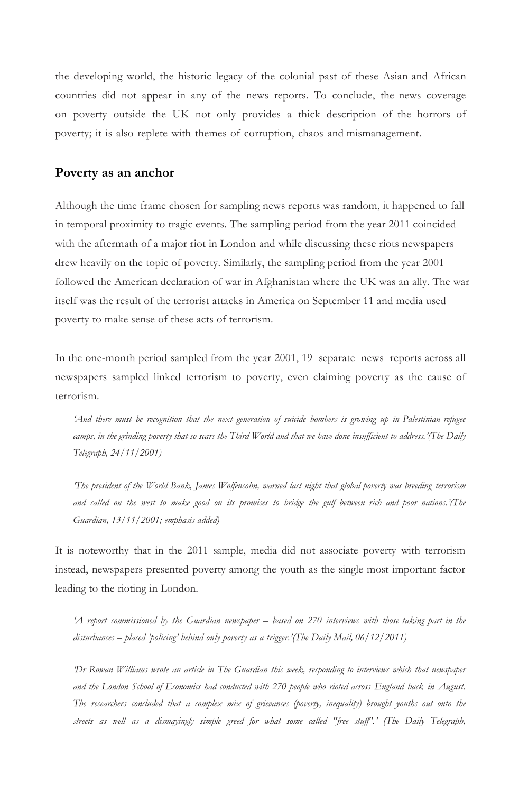the developing world, the historic legacy of the colonial past of these Asian and African countries did not appear in any of the news reports. To conclude, the news coverage on poverty outside the UK not only provides a thick description of the horrors of poverty; it is also replete with themes of corruption, chaos and mismanagement.

#### **Poverty as an anchor**

Although the time frame chosen for sampling news reports was random, it happened to fall in temporal proximity to tragic events. The sampling period from the year 2011 coincided with the aftermath of a major riot in London and while discussing these riots newspapers drew heavily on the topic of poverty. Similarly, the sampling period from the year 2001 followed the American declaration of war in Afghanistan where the UK was an ally. The war itself was the result of the terrorist attacks in America on September 11 and media used poverty to make sense of these acts of terrorism.

In the one-month period sampled from the year 2001, 19 separate news reports across all newspapers sampled linked terrorism to poverty, even claiming poverty as the cause of terrorism.

'And there must be recognition that the next generation of suicide bombers is growing up in Palestinian refugee camps, in the grinding poverty that so scars the Third World and that we have done insufficient to address.'(The Daily *Telegraph, 24/11/2001)*

The president of the World Bank, James Wolfensohn, warned last night that global poverty was breeding terrorism and called on the west to make good on its promises to bridge the gulf between rich and poor nations.'(The *Guardian, 13/11/2001; emphasis added)*

It is noteworthy that in the 2011 sample, media did not associate poverty with terrorism instead, newspapers presented poverty among the youth as the single most important factor leading to the rioting in London.

'A report commissioned by the Guardian newspaper - based on 270 interviews with those taking part in the *disturbances – placed 'policing' behind only poverty as a trigger.'(The Daily Mail, 06/12/2011)*

*'Dr Rowan Williams wrote an article in The Guardian this week, responding to interviews which that newspaper and the London School of Economics had conducted with 270 people who rioted across England back in August. The researchers concluded that a complex mix of grievances (poverty, inequality) brought youths out onto the streets as well as a dismayingly simple greed for what some called "free stuff".' (The Daily Telegraph,*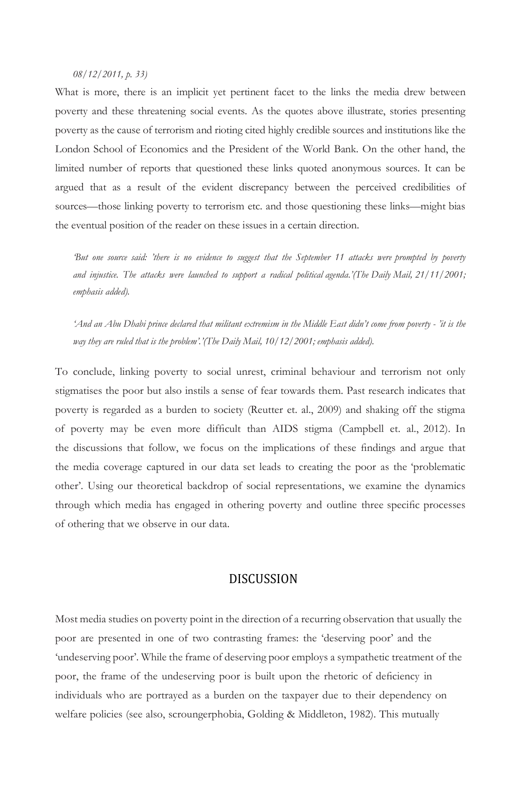#### *08/12/2011, p. 33)*

What is more, there is an implicit yet pertinent facet to the links the media drew between poverty and these threatening social events. As the quotes above illustrate, stories presenting poverty as the cause of terrorism and rioting cited highly credible sources and institutions like the London School of Economics and the President of the World Bank. On the other hand, the limited number of reports that questioned these links quoted anonymous sources. It can be argued that as a result of the evident discrepancy between the perceived credibilities of sources—those linking poverty to terrorism etc. and those questioning these links—might bias the eventual position of the reader on these issues in a certain direction.

But one source said: 'there is no evidence to suggest that the September 11 attacks were prompted by poverty *and injustice. The attacks were launched to support a radical political agenda.'(The Daily Mail, 21/11/2001; emphasis added).*

'And an Abu Dhabi prince declared that militant extremism in the Middle East didn't come from poverty - 'it is the *way they are ruled that is the problem'.'(The Daily Mail, 10/12/2001; emphasis added).*

To conclude, linking poverty to social unrest, criminal behaviour and terrorism not only stigmatises the poor but also instils a sense of fear towards them. Past research indicates that poverty is regarded as a burden to society (Reutter et. al., 2009) and shaking off the stigma of poverty may be even more difficult than AIDS stigma (Campbell et. al., 2012). In the discussions that follow, we focus on the implications of these findings and argue that the media coverage captured in our data set leads to creating the poor as the 'problematic other'. Using our theoretical backdrop of social representations, we examine the dynamics through which media has engaged in othering poverty and outline three specific processes of othering that we observe in our data.

#### DISCUSSION

Most media studies on poverty point in the direction of a recurring observation that usually the poor are presented in one of two contrasting frames: the 'deserving poor' and the 'undeserving poor'. While the frame of deserving poor employs a sympathetic treatment of the poor, the frame of the undeserving poor is built upon the rhetoric of deficiency in individuals who are portrayed as a burden on the taxpayer due to their dependency on welfare policies (see also, scroungerphobia, Golding & Middleton, 1982). This mutually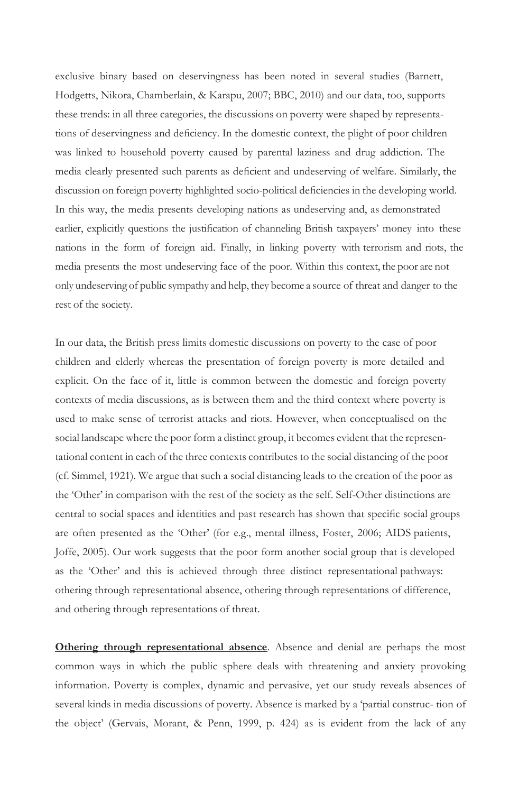exclusive binary based on deservingness has been noted in several studies (Barnett, Hodgetts, Nikora, Chamberlain, & Karapu, 2007; BBC, 2010) and our data, too, supports these trends: in all three categories, the discussions on poverty were shaped by representations of deservingness and deficiency. In the domestic context, the plight of poor children was linked to household poverty caused by parental laziness and drug addiction. The media clearly presented such parents as deficient and undeserving of welfare. Similarly, the discussion on foreign poverty highlighted socio-political deficiencies in the developing world. In this way, the media presents developing nations as undeserving and, as demonstrated earlier, explicitly questions the justification of channeling British taxpayers' money into these nations in the form of foreign aid. Finally, in linking poverty with terrorism and riots, the media presents the most undeserving face of the poor. Within this context, the poor are not only undeserving of public sympathy and help, they become a source of threat and danger to the rest of the society.

In our data, the British press limits domestic discussions on poverty to the case of poor children and elderly whereas the presentation of foreign poverty is more detailed and explicit. On the face of it, little is common between the domestic and foreign poverty contexts of media discussions, as is between them and the third context where poverty is used to make sense of terrorist attacks and riots. However, when conceptualised on the social landscape where the poor form a distinct group, it becomes evident that the representational content in each of the three contexts contributes to the social distancing of the poor (cf. Simmel, 1921). We argue that such a social distancing leads to the creation of the poor as the 'Other' in comparison with the rest of the society as the self. Self-Other distinctions are central to social spaces and identities and past research has shown that specific social groups are often presented as the 'Other' (for e.g., mental illness, Foster, 2006; AIDS patients, Joffe, 2005). Our work suggests that the poor form another social group that is developed as the 'Other' and this is achieved through three distinct representational pathways: othering through representational absence, othering through representations of difference, and othering through representations of threat.

**Othering through representational absence**. Absence and denial are perhaps the most common ways in which the public sphere deals with threatening and anxiety provoking information. Poverty is complex, dynamic and pervasive, yet our study reveals absences of several kinds in media discussions of poverty. Absence is marked by a 'partial construc- tion of the object' (Gervais, Morant, & Penn, 1999, p. 424) as is evident from the lack of any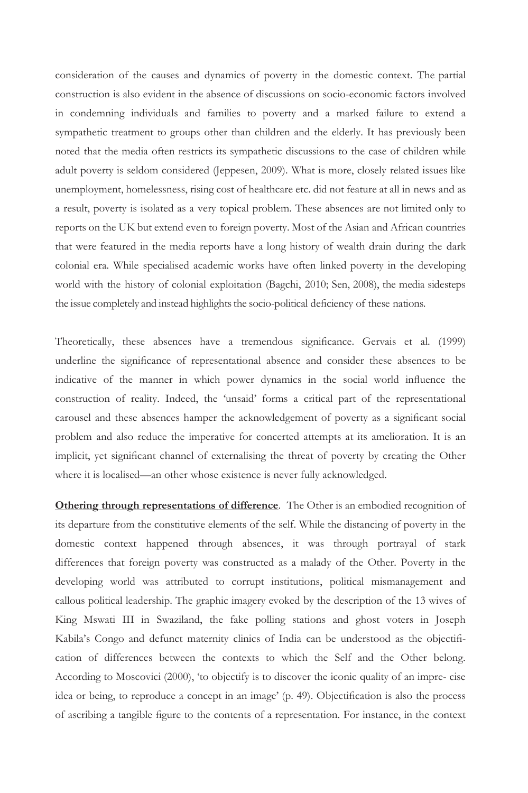consideration of the causes and dynamics of poverty in the domestic context. The partial construction is also evident in the absence of discussions on socio-economic factors involved in condemning individuals and families to poverty and a marked failure to extend a sympathetic treatment to groups other than children and the elderly. It has previously been noted that the media often restricts its sympathetic discussions to the case of children while adult poverty is seldom considered (Jeppesen, 2009). What is more, closely related issues like unemployment, homelessness, rising cost of healthcare etc. did not feature at all in news and as a result, poverty is isolated as a very topical problem. These absences are not limited only to reports on the UK but extend even to foreign poverty. Most of the Asian and African countries that were featured in the media reports have a long history of wealth drain during the dark colonial era. While specialised academic works have often linked poverty in the developing world with the history of colonial exploitation (Bagchi, 2010; Sen, 2008), the media sidesteps the issue completely and instead highlights the socio-political deficiency of these nations.

Theoretically, these absences have a tremendous significance. Gervais et al. (1999) underline the significance of representational absence and consider these absences to be indicative of the manner in which power dynamics in the social world influence the construction of reality. Indeed, the 'unsaid' forms a critical part of the representational carousel and these absences hamper the acknowledgement of poverty as a significant social problem and also reduce the imperative for concerted attempts at its amelioration. It is an implicit, yet significant channel of externalising the threat of poverty by creating the Other where it is localised—an other whose existence is never fully acknowledged.

**Othering through representations of difference**. The Other is an embodied recognition of its departure from the constitutive elements of the self. While the distancing of poverty in the domestic context happened through absences, it was through portrayal of stark differences that foreign poverty was constructed as a malady of the Other. Poverty in the developing world was attributed to corrupt institutions, political mismanagement and callous political leadership. The graphic imagery evoked by the description of the 13 wives of King Mswati III in Swaziland, the fake polling stations and ghost voters in Joseph Kabila's Congo and defunct maternity clinics of India can be understood as the objectification of differences between the contexts to which the Self and the Other belong. According to Moscovici (2000), 'to objectify is to discover the iconic quality of an impre- cise idea or being, to reproduce a concept in an image' (p. 49). Objectification is also the process of ascribing a tangible figure to the contents of a representation. For instance, in the context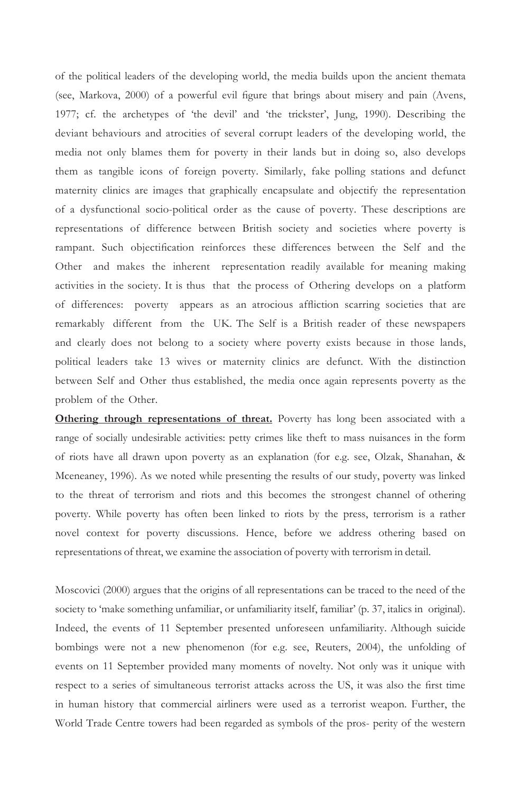of the political leaders of the developing world, the media builds upon the ancient themata (see, Markova, 2000) of a powerful evil figure that brings about misery and pain (Avens, 1977; cf. the archetypes of 'the devil' and 'the trickster', Jung, 1990). Describing the deviant behaviours and atrocities of several corrupt leaders of the developing world, the media not only blames them for poverty in their lands but in doing so, also develops them as tangible icons of foreign poverty. Similarly, fake polling stations and defunct maternity clinics are images that graphically encapsulate and objectify the representation of a dysfunctional socio-political order as the cause of poverty. These descriptions are representations of difference between British society and societies where poverty is rampant. Such objectification reinforces these differences between the Self and the Other and makes the inherent representation readily available for meaning making activities in the society. It is thus that the process of Othering develops on a platform of differences: poverty appears as an atrocious affliction scarring societies that are remarkably different from the UK. The Self is a British reader of these newspapers and clearly does not belong to a society where poverty exists because in those lands, political leaders take 13 wives or maternity clinics are defunct. With the distinction between Self and Other thus established, the media once again represents poverty as the problem of the Other.

**Othering through representations of threat.** Poverty has long been associated with a range of socially undesirable activities: petty crimes like theft to mass nuisances in the form of riots have all drawn upon poverty as an explanation (for e.g. see, Olzak, Shanahan, & Mceneaney, 1996). As we noted while presenting the results of our study, poverty was linked to the threat of terrorism and riots and this becomes the strongest channel of othering poverty. While poverty has often been linked to riots by the press, terrorism is a rather novel context for poverty discussions. Hence, before we address othering based on representations of threat, we examine the association of poverty with terrorism in detail.

Moscovici (2000) argues that the origins of all representations can be traced to the need of the society to 'make something unfamiliar, or unfamiliarity itself, familiar' (p. 37, italics in original). Indeed, the events of 11 September presented unforeseen unfamiliarity. Although suicide bombings were not a new phenomenon (for e.g. see, Reuters, 2004), the unfolding of events on 11 September provided many moments of novelty. Not only was it unique with respect to a series of simultaneous terrorist attacks across the US, it was also the first time in human history that commercial airliners were used as a terrorist weapon. Further, the World Trade Centre towers had been regarded as symbols of the pros- perity of the western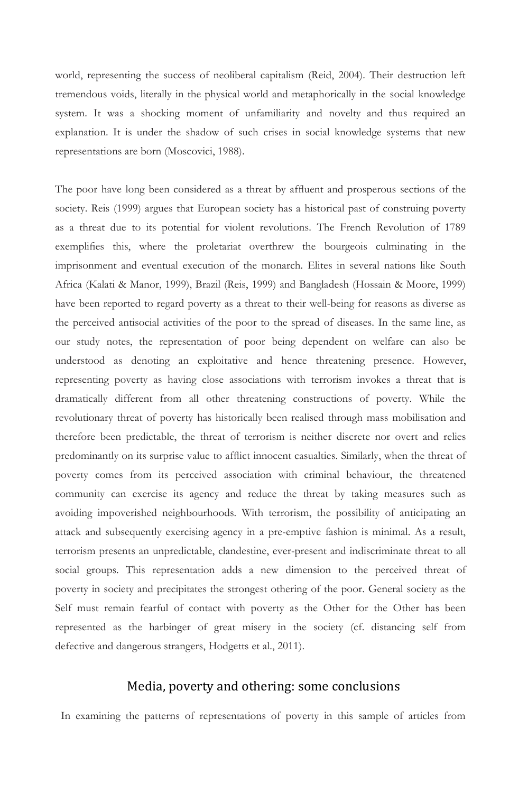world, representing the success of neoliberal capitalism (Reid, 2004). Their destruction left tremendous voids, literally in the physical world and metaphorically in the social knowledge system. It was a shocking moment of unfamiliarity and novelty and thus required an explanation. It is under the shadow of such crises in social knowledge systems that new representations are born (Moscovici, 1988).

The poor have long been considered as a threat by affluent and prosperous sections of the society. Reis (1999) argues that European society has a historical past of construing poverty as a threat due to its potential for violent revolutions. The French Revolution of 1789 exemplifies this, where the proletariat overthrew the bourgeois culminating in the imprisonment and eventual execution of the monarch. Elites in several nations like South Africa (Kalati & Manor, 1999), Brazil (Reis, 1999) and Bangladesh (Hossain & Moore, 1999) have been reported to regard poverty as a threat to their well-being for reasons as diverse as the perceived antisocial activities of the poor to the spread of diseases. In the same line, as our study notes, the representation of poor being dependent on welfare can also be understood as denoting an exploitative and hence threatening presence. However, representing poverty as having close associations with terrorism invokes a threat that is dramatically different from all other threatening constructions of poverty. While the revolutionary threat of poverty has historically been realised through mass mobilisation and therefore been predictable, the threat of terrorism is neither discrete nor overt and relies predominantly on its surprise value to afflict innocent casualties. Similarly, when the threat of poverty comes from its perceived association with criminal behaviour, the threatened community can exercise its agency and reduce the threat by taking measures such as avoiding impoverished neighbourhoods. With terrorism, the possibility of anticipating an attack and subsequently exercising agency in a pre-emptive fashion is minimal. As a result, terrorism presents an unpredictable, clandestine, ever-present and indiscriminate threat to all social groups. This representation adds a new dimension to the perceived threat of poverty in society and precipitates the strongest othering of the poor. General society as the Self must remain fearful of contact with poverty as the Other for the Other has been represented as the harbinger of great misery in the society (cf. distancing self from defective and dangerous strangers, Hodgetts et al., 2011).

#### Media, poverty and othering: some conclusions

In examining the patterns of representations of poverty in this sample of articles from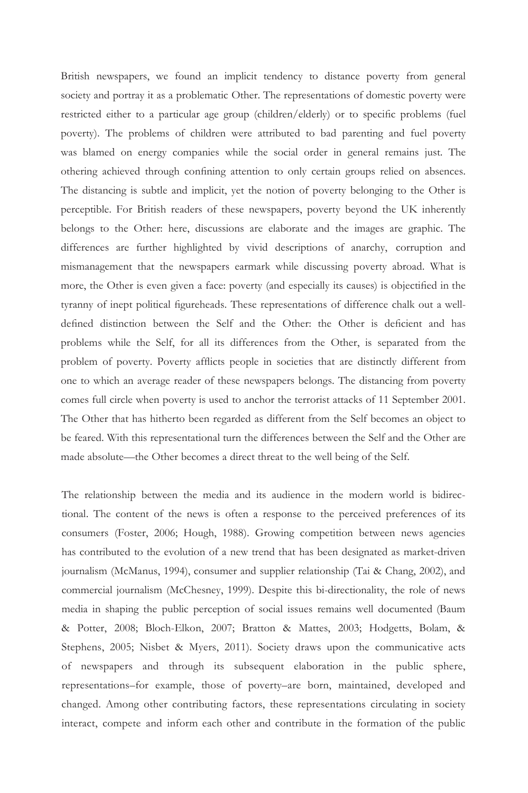British newspapers, we found an implicit tendency to distance poverty from general society and portray it as a problematic Other. The representations of domestic poverty were restricted either to a particular age group (children/elderly) or to specific problems (fuel poverty). The problems of children were attributed to bad parenting and fuel poverty was blamed on energy companies while the social order in general remains just. The othering achieved through confining attention to only certain groups relied on absences. The distancing is subtle and implicit, yet the notion of poverty belonging to the Other is perceptible. For British readers of these newspapers, poverty beyond the UK inherently belongs to the Other: here, discussions are elaborate and the images are graphic. The differences are further highlighted by vivid descriptions of anarchy, corruption and mismanagement that the newspapers earmark while discussing poverty abroad. What is more, the Other is even given a face: poverty (and especially its causes) is objectified in the tyranny of inept political figureheads. These representations of difference chalk out a welldefined distinction between the Self and the Other: the Other is deficient and has problems while the Self, for all its differences from the Other, is separated from the problem of poverty. Poverty afflicts people in societies that are distinctly different from one to which an average reader of these newspapers belongs. The distancing from poverty comes full circle when poverty is used to anchor the terrorist attacks of 11 September 2001. The Other that has hitherto been regarded as different from the Self becomes an object to be feared. With this representational turn the differences between the Self and the Other are made absolute—the Other becomes a direct threat to the well being of the Self.

The relationship between the media and its audience in the modern world is bidirectional. The content of the news is often a response to the perceived preferences of its consumers (Foster, 2006; Hough, 1988). Growing competition between news agencies has contributed to the evolution of a new trend that has been designated as market-driven journalism (McManus, 1994), consumer and supplier relationship (Tai & Chang, 2002), and commercial journalism (McChesney, 1999). Despite this bi-directionality, the role of news media in shaping the public perception of social issues remains well documented (Baum & Potter, 2008; Bloch-Elkon, 2007; Bratton & Mattes, 2003; Hodgetts, Bolam, & Stephens, 2005; Nisbet & Myers, 2011). Society draws upon the communicative acts of newspapers and through its subsequent elaboration in the public sphere, representations–for example, those of poverty–are born, maintained, developed and changed. Among other contributing factors, these representations circulating in society interact, compete and inform each other and contribute in the formation of the public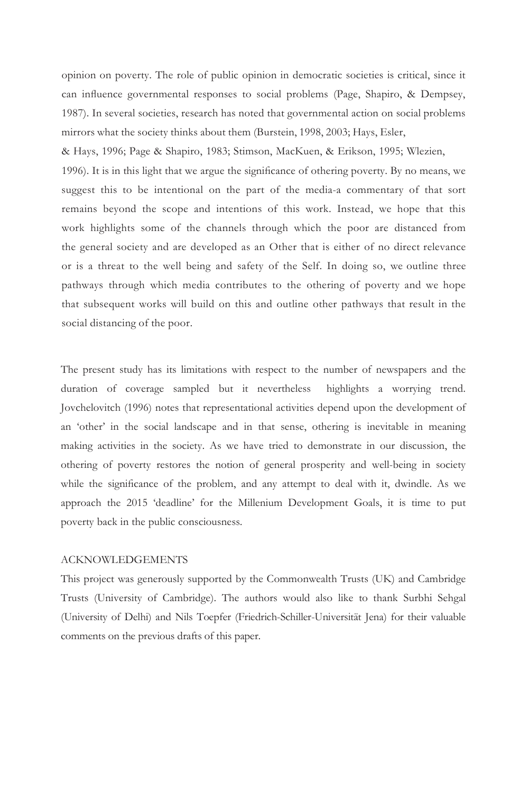opinion on poverty. The role of public opinion in democratic societies is critical, since it can influence governmental responses to social problems (Page, Shapiro, & Dempsey, 1987). In several societies, research has noted that governmental action on social problems mirrors what the society thinks about them (Burstein, 1998, 2003; Hays, Esler,

& Hays, 1996; Page & Shapiro, 1983; Stimson, MacKuen, & Erikson, 1995; Wlezien,

1996). It is in this light that we argue the significance of othering poverty. By no means, we suggest this to be intentional on the part of the media-a commentary of that sort remains beyond the scope and intentions of this work. Instead, we hope that this work highlights some of the channels through which the poor are distanced from the general society and are developed as an Other that is either of no direct relevance or is a threat to the well being and safety of the Self. In doing so, we outline three pathways through which media contributes to the othering of poverty and we hope that subsequent works will build on this and outline other pathways that result in the social distancing of the poor.

The present study has its limitations with respect to the number of newspapers and the duration of coverage sampled but it nevertheless highlights a worrying trend. Jovchelovitch (1996) notes that representational activities depend upon the development of an 'other' in the social landscape and in that sense, othering is inevitable in meaning making activities in the society. As we have tried to demonstrate in our discussion, the othering of poverty restores the notion of general prosperity and well-being in society while the significance of the problem, and any attempt to deal with it, dwindle. As we approach the 2015 'deadline' for the Millenium Development Goals, it is time to put poverty back in the public consciousness.

#### ACKNOWLEDGEMENTS

This project was generously supported by the Commonwealth Trusts (UK) and Cambridge Trusts (University of Cambridge). The authors would also like to thank Surbhi Sehgal (University of Delhi) and Nils Toepfer (Friedrich-Schiller-Universität Jena) for their valuable comments on the previous drafts of this paper.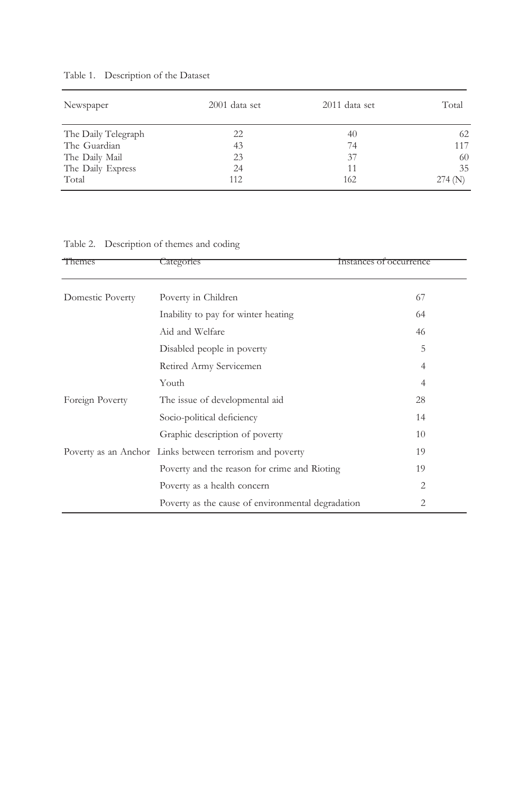| Newspaper           | 2001 data set | 2011 data set | Total  |
|---------------------|---------------|---------------|--------|
| The Daily Telegraph | 22            | 40            | 62     |
| The Guardian        | 43            | 74            | 117    |
| The Daily Mail      | 23            | 37            | 60     |
| The Daily Express   | 24            | 11            | 35     |
| Total               | 112           | 162           | 274(N) |

Table 1. Description of the Dataset

Table 2. Description of themes and coding

| Themes           | Categories                                               | Instances of occurrence |
|------------------|----------------------------------------------------------|-------------------------|
|                  |                                                          |                         |
| Domestic Poverty | Poverty in Children                                      | 67                      |
|                  | Inability to pay for winter heating                      | 64                      |
|                  | Aid and Welfare                                          | 46                      |
|                  | Disabled people in poverty                               | 5                       |
|                  | Retired Army Servicemen                                  | 4                       |
|                  | Youth                                                    | 4                       |
| Foreign Poverty  | The issue of developmental aid                           | 28                      |
|                  | Socio-political deficiency                               | 14                      |
|                  | Graphic description of poverty                           | 10                      |
|                  | Poverty as an Anchor Links between terrorism and poverty | 19                      |
|                  | Poverty and the reason for crime and Rioting             | 19                      |
|                  | Poverty as a health concern                              | $\overline{2}$          |
|                  | Poverty as the cause of environmental degradation        | $\overline{2}$          |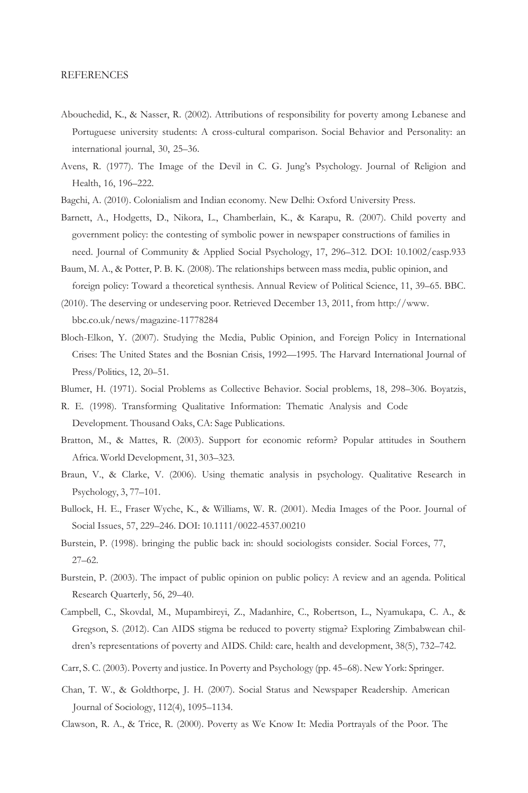- Abouchedid, K., & Nasser, R. (2002). Attributions of responsibility for poverty among Lebanese and Portuguese university students: A cross-cultural comparison. Social Behavior and Personality: an international journal, 30, 25–36.
- Avens, R. (1977). The Image of the Devil in C. G. Jung's Psychology. Journal of Religion and Health, 16, 196–222.
- Bagchi, A. (2010). Colonialism and Indian economy. New Delhi: Oxford University Press.
- Barnett, A., Hodgetts, D., Nikora, L., Chamberlain, K., & Karapu, R. (2007). Child poverty and government policy: the contesting of symbolic power in newspaper constructions of families in need. Journal of Community & Applied Social Psychology, 17, 296–312. DOI: 10.1002/casp.933
- Baum, M. A., & Potter, P. B. K. (2008). The relationships between mass media, public opinion, and foreign policy: Toward a theoretical synthesis. Annual Review of Political Science, 11, 39–65. BBC.
- (2010). The deserving or undeserving poor. Retrieved December 13, 2011, from [http://www.](http://www.bbc.co.uk/news/magazine-11778284) [bbc.co.uk/news/magazine-11778284](http://www.bbc.co.uk/news/magazine-11778284)
- Bloch-Elkon, Y. (2007). Studying the Media, Public Opinion, and Foreign Policy in International Crises: The United States and the Bosnian Crisis, 1992—1995. The Harvard International Journal of Press/Politics, 12, 20–51.
- Blumer, H. (1971). Social Problems as Collective Behavior. Social problems, 18, 298–306. Boyatzis,
- R. E. (1998). Transforming Qualitative Information: Thematic Analysis and Code Development. Thousand Oaks, CA: Sage Publications.
- Bratton, M., & Mattes, R. (2003). Support for economic reform? Popular attitudes in Southern Africa. World Development, 31, 303–323.
- Braun, V., & Clarke, V. (2006). Using thematic analysis in psychology. Qualitative Research in Psychology, 3, 77–101.
- Bullock, H. E., Fraser Wyche, K., & Williams, W. R. (2001). Media Images of the Poor. Journal of Social Issues, 57, 229–246. DOI: 10.1111/0022-4537.00210
- Burstein, P. (1998). bringing the public back in: should sociologists consider. Social Forces, 77, 27–62.
- Burstein, P. (2003). The impact of public opinion on public policy: A review and an agenda. Political Research Quarterly, 56, 29–40.
- Campbell, C., Skovdal, M., Mupambireyi, Z., Madanhire, C., Robertson, L., Nyamukapa, C. A., & Gregson, S. (2012). Can AIDS stigma be reduced to poverty stigma? Exploring Zimbabwean children's representations of poverty and AIDS. Child: care, health and development, 38(5), 732–742.
- Carr, S. C. (2003). Poverty and justice. In Poverty and Psychology (pp. 45–68). New York: Springer.
- Chan, T. W., & Goldthorpe, J. H. (2007). Social Status and Newspaper Readership. American Journal of Sociology, 112(4), 1095–1134.
- Clawson, R. A., & Trice, R. (2000). Poverty as We Know It: Media Portrayals of the Poor. The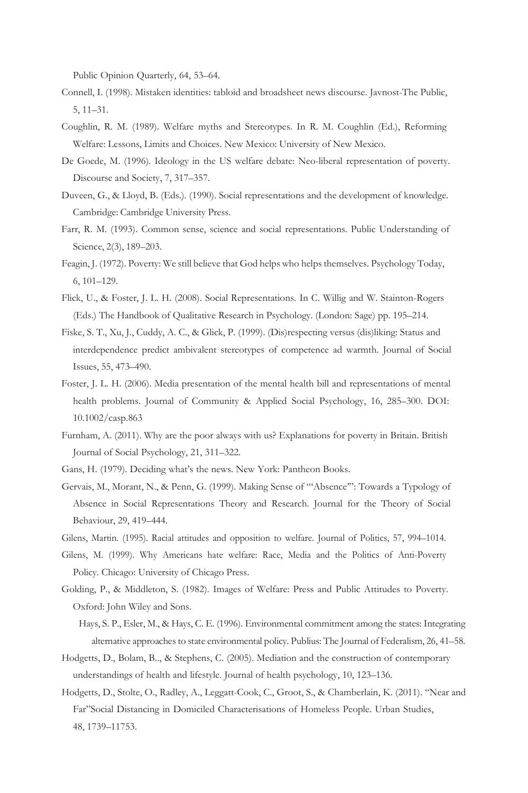Public Opinion Quarterly, 64, 53–64.

- Connell, I. (1998). Mistaken identities: tabloid and broadsheet news discourse. Javnost-The Public, 5, 11–31.
- Coughlin, R. M. (1989). Welfare myths and Stereotypes. In R. M. Coughlin (Ed.), Reforming Welfare: Lessons, Limits and Choices. New Mexico: University of New Mexico.
- De Goede, M. (1996). Ideology in the US welfare debate: Neo-liberal representation of poverty. Discourse and Society, 7, 317–357.
- Duveen, G., & Lloyd, B. (Eds.). (1990). Social representations and the development of knowledge. Cambridge: Cambridge University Press.
- Farr, R. M. (1993). Common sense, science and social representations. Public Understanding of Science, 2(3), 189–203.
- Feagin, J. (1972). Poverty: We still believe that God helps who helps themselves. Psychology Today, 6, 101–129.
- Flick, U., & Foster, J. L. H. (2008). Social Representations. In C. Willig and W. Stainton-Rogers (Eds.) The Handbook of Qualitative Research in Psychology. (London: Sage) pp. 195–214.
- Fiske, S. T., Xu, J., Cuddy, A. C., & Glick, P. (1999). (Dis)respecting versus (dis)liking: Status and interdependence predict ambivalent stereotypes of competence ad warmth. Journal of Social Issues, 55, 473–490.
- Foster, J. L. H. (2006). Media presentation of the mental health bill and representations of mental health problems. Journal of Community & Applied Social Psychology, 16, 285–300. DOI: 10.1002/casp.863
- Furnham, A. (2011). Why are the poor always with us? Explanations for poverty in Britain. British Journal of Social Psychology, 21, 311–322.
- Gans, H. (1979). Deciding what's the news. New York: Pantheon Books.
- Gervais, M., Morant, N., & Penn, G. (1999). Making Sense of "'Absence'": Towards a Typology of Absence in Social Representations Theory and Research. Journal for the Theory of Social Behaviour, 29, 419–444.
- Gilens, Martin. (1995). Racial attitudes and opposition to welfare. Journal of Politics, 57, 994–1014.
- Gilens, M. (1999). Why Americans hate welfare: Race, Media and the Politics of Anti-Poverty Policy. Chicago: University of Chicago Press.
- Golding, P., & Middleton, S. (1982). Images of Welfare: Press and Public Attitudes to Poverty. Oxford: John Wiley and Sons.
	- Hays, S. P., Esler, M., & Hays, C. E. (1996). Environmental commitment among the states: Integrating alternative approachesto state environmental policy. Publius: The Journal of Federalism, 26, 41–58.
- Hodgetts, D., Bolam, B.., & Stephens, C. (2005). Mediation and the construction of contemporary understandings of health and lifestyle. Journal of health psychology, 10, 123–136.
- Hodgetts, D., Stolte, O., Radley, A., Leggatt-Cook, C., Groot, S., & Chamberlain, K. (2011). "Near and Far"Social Distancing in Domiciled Characterisations of Homeless People. Urban Studies, 48, 1739–11753.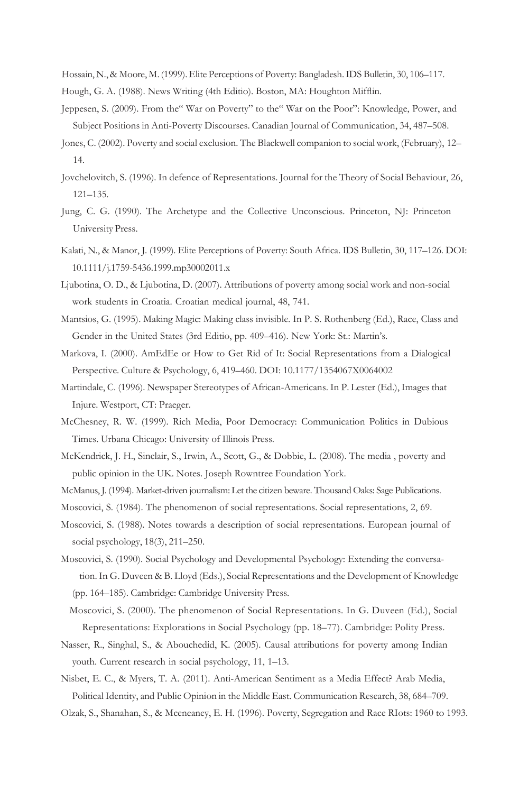Hossain,N.,& Moore, M. (1999).Elite Perceptions of Poverty: Bangladesh.IDS Bulletin, 30, 106–117.

Hough, G. A. (1988). News Writing (4th Editio). Boston, MA: Houghton Mifflin.

- Jeppesen, S. (2009). From the" War on Poverty" to the" War on the Poor": Knowledge, Power, and Subject Positions in Anti-Poverty Discourses. Canadian Journal of Communication, 34, 487–508.
- Jones, C. (2002). Poverty and social exclusion. The Blackwell companion to social work, (February), 12– 14.
- Jovchelovitch, S. (1996). In defence of Representations. Journal for the Theory of Social Behaviour, 26, 121–135.
- Jung, C. G. (1990). The Archetype and the Collective Unconscious. Princeton, NJ: Princeton University Press.
- Kalati, N., & Manor, J. (1999). Elite Perceptions of Poverty: South Africa. IDS Bulletin, 30, 117–126. DOI: 10.1111/j.1759-5436.1999.mp30002011.x
- Ljubotina, O. D., & Ljubotina, D. (2007). Attributions of poverty among social work and non-social work students in Croatia. Croatian medical journal, 48, 741.
- Mantsios, G. (1995). Making Magic: Making class invisible. In P. S. Rothenberg (Ed.), Race, Class and Gender in the United States (3rd Editio, pp. 409–416). New York: St.: Martin's.
- Markova, I. (2000). AmEdEe or How to Get Rid of It: Social Representations from a Dialogical Perspective. Culture & Psychology, 6, 419–460. DOI: 10.1177/1354067X0064002
- Martindale, C. (1996). Newspaper Stereotypes of African-Americans. In P. Lester (Ed.), Images that Injure. Westport, CT: Praeger.
- McChesney, R. W. (1999). Rich Media, Poor Democracy: Communication Politics in Dubious Times. Urbana Chicago: University of Illinois Press.
- McKendrick, J. H., Sinclair, S., Irwin, A., Scott, G., & Dobbie, L. (2008). The media , poverty and public opinion in the UK. Notes. Joseph Rowntree Foundation York.
- McManus, J. (1994). Market-driven journalism: Let the citizen beware. Thousand Oaks: Sage Publications.
- Moscovici, S. (1984). The phenomenon of social representations. Social representations, 2, 69.
- Moscovici, S. (1988). Notes towards a description of social representations. European journal of social psychology, 18(3), 211–250.
- Moscovici, S. (1990). Social Psychology and Developmental Psychology: Extending the conversation. In G. Duveen & B. Lloyd (Eds.), Social Representations and the Development of Knowledge (pp. 164–185). Cambridge: Cambridge University Press.
	- Moscovici, S. (2000). The phenomenon of Social Representations. In G. Duveen (Ed.), Social Representations: Explorations in Social Psychology (pp. 18–77). Cambridge: Polity Press.
- Nasser, R., Singhal, S., & Abouchedid, K. (2005). Causal attributions for poverty among Indian youth. Current research in social psychology, 11, 1–13.
- Nisbet, E. C., & Myers, T. A. (2011). Anti-American Sentiment as a Media Effect? Arab Media, Political Identity, and Public Opinion in the Middle East. Communication Research, 38, 684–709.
- Olzak, S., Shanahan, S., & Mceneaney, E. H. (1996). Poverty, Segregation and Race RIots: 1960 to 1993.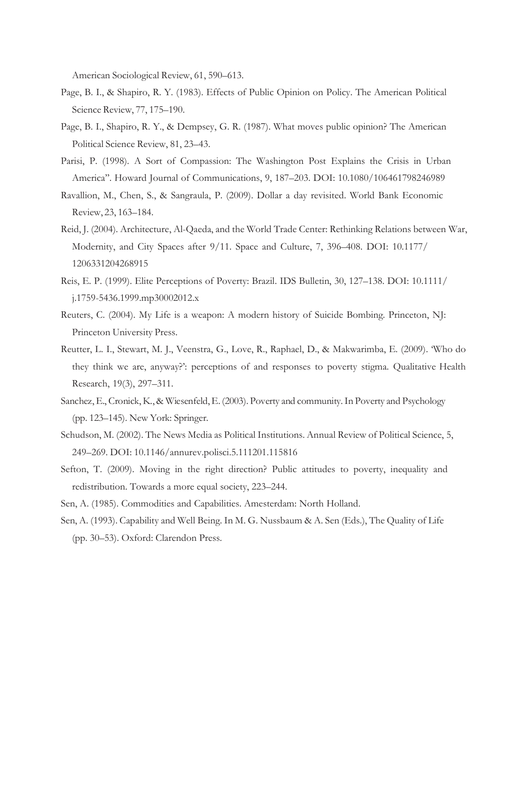American Sociological Review, 61, 590–613.

- Page, B. I., & Shapiro, R. Y. (1983). Effects of Public Opinion on Policy. The American Political Science Review, 77, 175–190.
- Page, B. I., Shapiro, R. Y., & Dempsey, G. R. (1987). What moves public opinion? The American Political Science Review, 81, 23–43.
- Parisi, P. (1998). A Sort of Compassion: The Washington Post Explains the Crisis in Urban America''. Howard Journal of Communications, 9, 187–203. DOI: 10.1080/106461798246989
- Ravallion, M., Chen, S., & Sangraula, P. (2009). Dollar a day revisited. World Bank Economic Review, 23, 163–184.
- Reid, J. (2004). Architecture, Al-Qaeda, and the World Trade Center: Rethinking Relations between War, Modernity, and City Spaces after 9/11. Space and Culture, 7, 396–408. DOI: 10.1177/ 1206331204268915
- Reis, E. P. (1999). Elite Perceptions of Poverty: Brazil. IDS Bulletin, 30, 127–138. DOI: 10.1111/ j.1759-5436.1999.mp30002012.x
- Reuters, C. (2004). My Life is a weapon: A modern history of Suicide Bombing. Princeton, NJ: Princeton University Press.
- Reutter, L. I., Stewart, M. J., Veenstra, G., Love, R., Raphael, D., & Makwarimba, E. (2009). 'Who do they think we are, anyway?': perceptions of and responses to poverty stigma. Qualitative Health Research, 19(3), 297–311.
- Sanchez,E., Cronick, K., & Wiesenfeld,E. (2003). Poverty and community.In Poverty and Psychology (pp. 123–145). New York: Springer.
- Schudson, M. (2002). The News Media as Political Institutions. Annual Review of Political Science, 5, 249–269. DOI: 10.1146/annurev.polisci.5.111201.115816
- Sefton, T. (2009). Moving in the right direction? Public attitudes to poverty, inequality and redistribution. Towards a more equal society, 223–244.
- Sen, A. (1985). Commodities and Capabilities. Amesterdam: North Holland.
- Sen, A. (1993). Capability and Well Being. In M. G. Nussbaum & A. Sen (Eds.), The Quality of Life (pp. 30–53). Oxford: Clarendon Press.